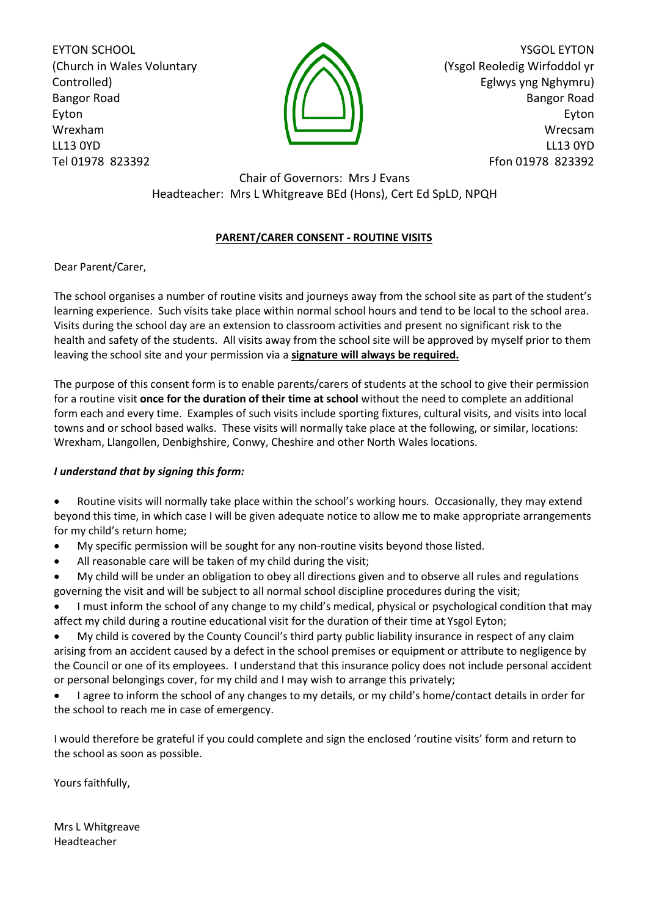EYTON SCHOOL (Church in Wales Voluntary Controlled) Bangor Road Eyton Wrexham LL13 0YD Tel 01978 823392



YSGOL EYTON (Ysgol Reoledig Wirfoddol yr Eglwys yng Nghymru) Bangor Road Eyton Wrecsam LL13 0YD Ffon 01978 823392

Chair of Governors: Mrs J Evans Headteacher: Mrs L Whitgreave BEd (Hons), Cert Ed SpLD, NPQH

## **PARENT/CARER CONSENT - ROUTINE VISITS**

Dear Parent/Carer,

The school organises a number of routine visits and journeys away from the school site as part of the student's learning experience. Such visits take place within normal school hours and tend to be local to the school area. Visits during the school day are an extension to classroom activities and present no significant risk to the health and safety of the students. All visits away from the school site will be approved by myself prior to them leaving the school site and your permission via a **signature will always be required.**

The purpose of this consent form is to enable parents/carers of students at the school to give their permission for a routine visit **once for the duration of their time at school** without the need to complete an additional form each and every time. Examples of such visits include sporting fixtures, cultural visits, and visits into local towns and or school based walks. These visits will normally take place at the following, or similar, locations: Wrexham, Llangollen, Denbighshire, Conwy, Cheshire and other North Wales locations.

## *I understand that by signing this form:*

 Routine visits will normally take place within the school's working hours. Occasionally, they may extend beyond this time, in which case I will be given adequate notice to allow me to make appropriate arrangements for my child's return home;

- My specific permission will be sought for any non-routine visits beyond those listed.
- All reasonable care will be taken of my child during the visit;

 My child will be under an obligation to obey all directions given and to observe all rules and regulations governing the visit and will be subject to all normal school discipline procedures during the visit;

 I must inform the school of any change to my child's medical, physical or psychological condition that may affect my child during a routine educational visit for the duration of their time at Ysgol Eyton;

 My child is covered by the County Council's third party public liability insurance in respect of any claim arising from an accident caused by a defect in the school premises or equipment or attribute to negligence by the Council or one of its employees. I understand that this insurance policy does not include personal accident or personal belongings cover, for my child and I may wish to arrange this privately;

 I agree to inform the school of any changes to my details, or my child's home/contact details in order for the school to reach me in case of emergency.

I would therefore be grateful if you could complete and sign the enclosed 'routine visits' form and return to the school as soon as possible.

Yours faithfully,

Mrs L Whitgreave Headteacher